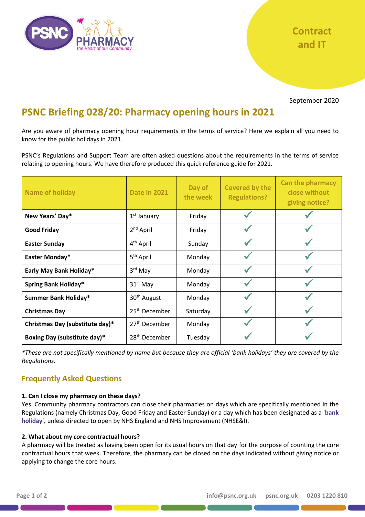

September 2020

# **PSNC Briefing 028/20: Pharmacy opening hours in 2021**

Are you aware of pharmacy opening hour requirements in the terms of service? Here we explain all you need to know for the public holidays in 2021.

PSNC's Regulations and Support Team are often asked questions about the requirements in the terms of service relating to opening hours. We have therefore produced this quick reference guide for 2021.

| <b>Name of holiday</b>          | <b>Date in 2021</b>       | Day of<br>the week | <b>Covered by the</b><br><b>Regulations?</b> | <b>Can the pharmacy</b><br>close without<br>giving notice? |
|---------------------------------|---------------------------|--------------------|----------------------------------------------|------------------------------------------------------------|
| New Years' Day*                 | $1st$ January             | Friday             |                                              |                                                            |
| <b>Good Friday</b>              | 2 <sup>nd</sup> April     | Friday             |                                              |                                                            |
| <b>Easter Sunday</b>            | 4 <sup>th</sup> April     | Sunday             |                                              |                                                            |
| Easter Monday*                  | 5 <sup>th</sup> April     | Monday             |                                              |                                                            |
| Early May Bank Holiday*         | 3 <sup>rd</sup> May       | Monday             |                                              |                                                            |
| <b>Spring Bank Holiday*</b>     | $31st$ May                | Monday             |                                              |                                                            |
| <b>Summer Bank Holiday*</b>     | 30 <sup>th</sup> August   | Monday             |                                              |                                                            |
| <b>Christmas Day</b>            | 25 <sup>th</sup> December | Saturday           |                                              |                                                            |
| Christmas Day (substitute day)* | 27 <sup>th</sup> December | Monday             |                                              |                                                            |
| Boxing Day (substitute day)*    | 28 <sup>th</sup> December | Tuesday            |                                              |                                                            |

*\*These are not specifically mentioned by name but because they are official 'bank holidays' they are covered by the Regulations.*

## **Frequently Asked Questions**

#### **1. Can I close my pharmacy on these days?**

Yes. Community pharmacy contractors can close their pharmacies on days which are specifically mentioned in the Regulations (namely Christmas Day, Good Friday and Easter Sunday) or a day which has been designated as a '**[bank](https://www.gov.uk/bank-holidays)  [holiday](https://www.gov.uk/bank-holidays)**', unless directed to open by NHS England and NHS Improvement (NHSE&I).

#### **2. What about my core contractual hours?**

A pharmacy will be treated as having been open for its usual hours on that day for the purpose of counting the core contractual hours that week. Therefore, the pharmacy can be closed on the days indicated without giving notice or applying to change the core hours.